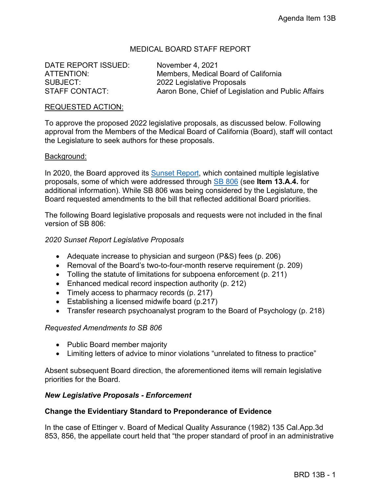# MEDICAL BOARD STAFF REPORT

DATE REPORT ISSUED: November 4, 2021

ATTENTION: Members, Medical Board of California SUBJECT: 2022 Legislative Proposals STAFF CONTACT: Aaron Bone, Chief of Legislation and Public Affairs

#### REQUESTED ACTION:

To approve the proposed 2022 legislative proposals, as discussed below. Following approval from the Members of the Medical Board of California (Board), staff will contact the Legislature to seek authors for these proposals.

#### Background:

In 2020, the Board approved its [Sunset Report,](https://www.mbc.ca.gov/Download/Reports/sunset-report-2020.pdf) which contained multiple legislative proposals, some of which were addressed through [SB 806](https://leginfo.legislature.ca.gov/faces/billNavClient.xhtml?bill_id=202120220SB806) (see **Item 13.A.4.** for additional information). While SB 806 was being considered by the Legislature, the Board requested amendments to the bill that reflected additional Board priorities.

The following Board legislative proposals and requests were not included in the final version of SB 806:

## *2020 Sunset Report Legislative Proposals*

- Adequate increase to physician and surgeon (P&S) fees (p. 206)
- Removal of the Board's two-to-four-month reserve requirement (p. 209)
- Tolling the statute of limitations for subpoena enforcement (p. 211)
- Enhanced medical record inspection authority (p. 212)
- Timely access to pharmacy records (p. 217)
- Establishing a licensed midwife board (p.217)
- Transfer research psychoanalyst program to the Board of Psychology (p. 218)

#### *Requested Amendments to SB 806*

- Public Board member majority
- Limiting letters of advice to minor violations "unrelated to fitness to practice"

Absent subsequent Board direction, the aforementioned items will remain legislative priorities for the Board.

## *New Legislative Proposals - Enforcement*

#### **Change the Evidentiary Standard to Preponderance of Evidence**

In the case of Ettinger v. Board of Medical Quality Assurance (1982) 135 Cal.App.3d 853, 856, the appellate court held that "the proper standard of proof in an administrative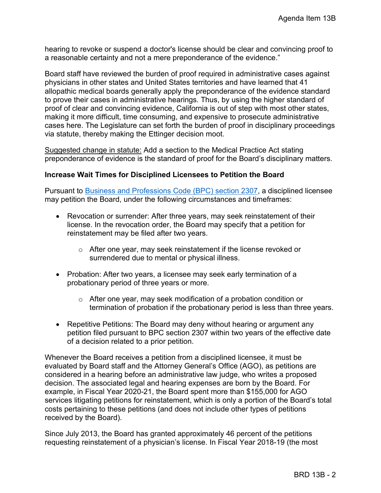hearing to revoke or suspend a doctor's license should be clear and convincing proof to a reasonable certainty and not a mere preponderance of the evidence."

Board staff have reviewed the burden of proof required in administrative cases against physicians in other states and United States territories and have learned that 41 allopathic medical boards generally apply the preponderance of the evidence standard to prove their cases in administrative hearings. Thus, by using the higher standard of proof of clear and convincing evidence, California is out of step with most other states, making it more difficult, time consuming, and expensive to prosecute administrative cases here. The Legislature can set forth the burden of proof in disciplinary proceedings via statute, thereby making the Ettinger decision moot.

Suggested change in statute: Add a section to the Medical Practice Act stating preponderance of evidence is the standard of proof for the Board's disciplinary matters.

## **Increase Wait Times for Disciplined Licensees to Petition the Board**

Pursuant to [Business and Professions Code \(BPC\) section 2307,](https://leginfo.legislature.ca.gov/faces/codes_displaySection.xhtml?sectionNum=2307.&lawCode=BPC) a disciplined licensee may petition the Board, under the following circumstances and timeframes:

- Revocation or surrender: After three years, may seek reinstatement of their license. In the revocation order, the Board may specify that a petition for reinstatement may be filed after two years.
	- o After one year, may seek reinstatement if the license revoked or surrendered due to mental or physical illness.
- Probation: After two years, a licensee may seek early termination of a probationary period of three years or more.
	- o After one year, may seek modification of a probation condition or termination of probation if the probationary period is less than three years.
- Repetitive Petitions: The Board may deny without hearing or argument any petition filed pursuant to BPC section 2307 within two years of the effective date of a decision related to a prior petition.

Whenever the Board receives a petition from a disciplined licensee, it must be evaluated by Board staff and the Attorney General's Office (AGO), as petitions are considered in a hearing before an administrative law judge, who writes a proposed decision. The associated legal and hearing expenses are born by the Board. For example, in Fiscal Year 2020-21, the Board spent more than \$155,000 for AGO services litigating petitions for reinstatement, which is only a portion of the Board's total costs pertaining to these petitions (and does not include other types of petitions received by the Board).

Since July 2013, the Board has granted approximately 46 percent of the petitions requesting reinstatement of a physician's license. In Fiscal Year 2018-19 (the most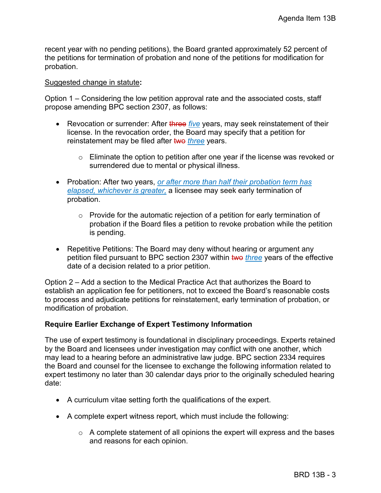recent year with no pending petitions), the Board granted approximately 52 percent of the petitions for termination of probation and none of the petitions for modification for probation.

#### Suggested change in statute**:**

Option 1 – Considering the low petition approval rate and the associated costs, staff propose amending BPC section 2307, as follows:

- Revocation or surrender: After three *five* years, may seek reinstatement of their license. In the revocation order, the Board may specify that a petition for reinstatement may be filed after two *three* years.
	- $\circ$  Eliminate the option to petition after one year if the license was revoked or surrendered due to mental or physical illness.
- Probation: After two years, *or after more than half their probation term has elapsed, whichever is greater,* a licensee may seek early termination of probation.
	- o Provide for the automatic rejection of a petition for early termination of probation if the Board files a petition to revoke probation while the petition is pending.
- Repetitive Petitions: The Board may deny without hearing or argument any petition filed pursuant to BPC section 2307 within two *three* years of the effective date of a decision related to a prior petition.

Option 2 – Add a section to the Medical Practice Act that authorizes the Board to establish an application fee for petitioners, not to exceed the Board's reasonable costs to process and adjudicate petitions for reinstatement, early termination of probation, or modification of probation.

#### **Require Earlier Exchange of Expert Testimony Information**

The use of expert testimony is foundational in disciplinary proceedings. Experts retained by the Board and licensees under investigation may conflict with one another, which may lead to a hearing before an administrative law judge. BPC section 2334 requires the Board and counsel for the licensee to exchange the following information related to expert testimony no later than 30 calendar days prior to the originally scheduled hearing date:

- A curriculum vitae setting forth the qualifications of the expert.
- A complete expert witness report, which must include the following:
	- $\circ$  A complete statement of all opinions the expert will express and the bases and reasons for each opinion.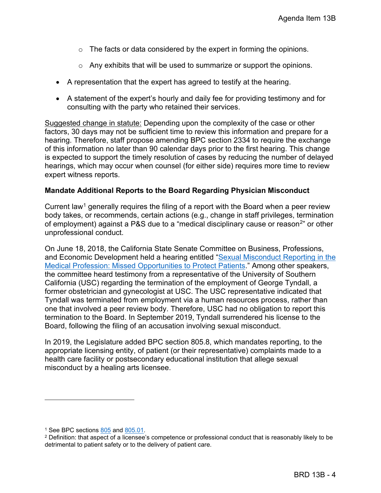- $\circ$  The facts or data considered by the expert in forming the opinions.
- o Any exhibits that will be used to summarize or support the opinions.
- A representation that the expert has agreed to testify at the hearing.
- A statement of the expert's hourly and daily fee for providing testimony and for consulting with the party who retained their services.

Suggested change in statute: Depending upon the complexity of the case or other factors, 30 days may not be sufficient time to review this information and prepare for a hearing. Therefore, staff propose amending BPC section 2334 to require the exchange of this information no later than 90 calendar days prior to the first hearing. This change is expected to support the timely resolution of cases by reducing the number of delayed hearings, which may occur when counsel (for either side) requires more time to review expert witness reports.

#### **Mandate Additional Reports to the Board Regarding Physician Misconduct**

Current law<sup>[1](#page-3-0)</sup> generally requires the filing of a report with the Board when a peer review body takes, or recommends, certain actions (e.g., change in staff privileges, termination of employment) against a P&S due to a "medical disciplinary cause or reason $^{2}$  $^{2}$  $^{2}$ " or other unprofessional conduct.

On June 18, 2018, the California State Senate Committee on Business, Professions, and Economic Development held a hearing entitled ["Sexual Misconduct Reporting in the](https://sbp.senate.ca.gov/sites/sbp.senate.ca.gov/files/Agenda%206-18-18.pdf)  [Medical Profession: Missed Opportunities to Protect Patients.](https://sbp.senate.ca.gov/sites/sbp.senate.ca.gov/files/Agenda%206-18-18.pdf)" Among other speakers, the committee heard testimony from a representative of the University of Southern California (USC) regarding the termination of the employment of George Tyndall, a former obstetrician and gynecologist at USC. The USC representative indicated that Tyndall was terminated from employment via a human resources process, rather than one that involved a peer review body. Therefore, USC had no obligation to report this termination to the Board. In September 2019, Tyndall surrendered his license to the Board, following the filing of an accusation involving sexual misconduct.

In 2019, the Legislature added BPC section 805.8, which mandates reporting, to the appropriate licensing entity, of patient (or their representative) complaints made to a health care facility or postsecondary educational institution that allege sexual misconduct by a healing arts licensee.

<span id="page-3-1"></span><span id="page-3-0"></span><sup>&</sup>lt;sup>1</sup> See BPC sections <u>805</u> and <u>805.01</u>.<br><sup>2</sup> Definition: that aspect of a licensee's competence or professional conduct that is reasonably likely to be detrimental to patient safety or to the delivery of patient care.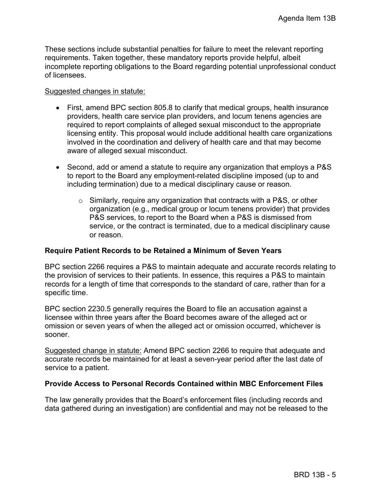These sections include substantial penalties for failure to meet the relevant reporting requirements. Taken together, these mandatory reports provide helpful, albeit incomplete reporting obligations to the Board regarding potential unprofessional conduct of licensees.

#### Suggested changes in statute:

- First, amend BPC section 805.8 to clarify that medical groups, health insurance providers, health care service plan providers, and locum tenens agencies are required to report complaints of alleged sexual misconduct to the appropriate licensing entity. This proposal would include additional health care organizations involved in the coordination and delivery of health care and that may become aware of alleged sexual misconduct.
- Second, add or amend a statute to require any organization that employs a P&S to report to the Board any employment-related discipline imposed (up to and including termination) due to a medical disciplinary cause or reason.
	- $\circ$  Similarly, require any organization that contracts with a P&S, or other organization (e.g., medical group or locum tenens provider) that provides P&S services, to report to the Board when a P&S is dismissed from service, or the contract is terminated, due to a medical disciplinary cause or reason.

## **Require Patient Records to be Retained a Minimum of Seven Years**

BPC section 2266 requires a P&S to maintain adequate and accurate records relating to the provision of services to their patients. In essence, this requires a P&S to maintain records for a length of time that corresponds to the standard of care, rather than for a specific time.

BPC section 2230.5 generally requires the Board to file an accusation against a licensee within three years after the Board becomes aware of the alleged act or omission or seven years of when the alleged act or omission occurred, whichever is sooner.

Suggested change in statute: Amend BPC section 2266 to require that adequate and accurate records be maintained for at least a seven-year period after the last date of service to a patient.

## **Provide Access to Personal Records Contained within MBC Enforcement Files**

The law generally provides that the Board's enforcement files (including records and data gathered during an investigation) are confidential and may not be released to the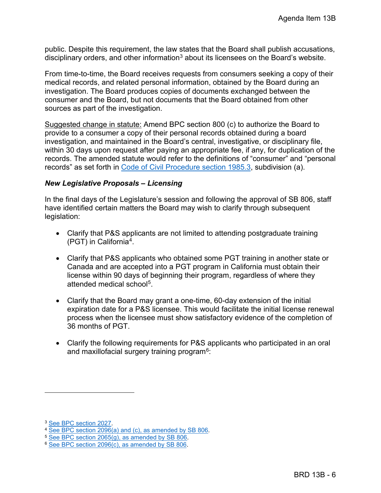public. Despite this requirement, the law states that the Board shall publish accusations, disciplinary orders, and other information<sup>[3](#page-5-0)</sup> about its licensees on the Board's website.

From time-to-time, the Board receives requests from consumers seeking a copy of their medical records, and related personal information, obtained by the Board during an investigation. The Board produces copies of documents exchanged between the consumer and the Board, but not documents that the Board obtained from other sources as part of the investigation.

Suggested change in statute: Amend BPC section 800 (c) to authorize the Board to provide to a consumer a copy of their personal records obtained during a board investigation, and maintained in the Board's central, investigative, or disciplinary file, within 30 days upon request after paying an appropriate fee, if any, for duplication of the records. The amended statute would refer to the definitions of "consumer" and "personal records" as set forth in [Code of Civil Procedure section 1985.3,](https://leginfo.legislature.ca.gov/faces/codes_displaySection.xhtml?sectionNum=1985.3.&lawCode=CCP) subdivision (a).

## *New Legislative Proposals – Licensing*

In the final days of the Legislature's session and following the approval of SB 806, staff have identified certain matters the Board may wish to clarify through subsequent legislation:

- Clarify that P&S applicants are not limited to attending postgraduate training (PGT) in California[4](#page-5-1).
- Clarify that P&S applicants who obtained some PGT training in another state or Canada and are accepted into a PGT program in California must obtain their license within 90 days of beginning their program, regardless of where they attended medical school<sup>[5](#page-5-2)</sup>.
- Clarify that the Board may grant a one-time, 60-day extension of the initial expiration date for a P&S licensee. This would facilitate the initial license renewal process when the licensee must show satisfactory evidence of the completion of 36 months of PGT.
- Clarify the following requirements for P&S applicants who participated in an oral and maxillofacial surgery training program $6$ [:](#page-5-3)

<span id="page-5-1"></span><span id="page-5-0"></span>

<sup>&</sup>lt;sup>3</sup> [See BPC section 2027.](https://leginfo.legislature.ca.gov/faces/codes_displaySection.xhtml?sectionNum=2027.&lawCode=BPC)<br>
<sup>4</sup> [See BPC section 2096\(a\) and \(c\), as amended by SB 806.](https://leginfo.legislature.ca.gov/faces/billNavClient.xhtml?bill_id=202120220SB806)<br>
<sup>5</sup> [See BPC section 2096\(c\), as amended by SB 806.](https://leginfo.legislature.ca.gov/faces/billNavClient.xhtml?bill_id=202120220SB806)<br>
<sup>6</sup> See BPC section 2096(c), as amended by SB 806.

<span id="page-5-2"></span>

<span id="page-5-3"></span>